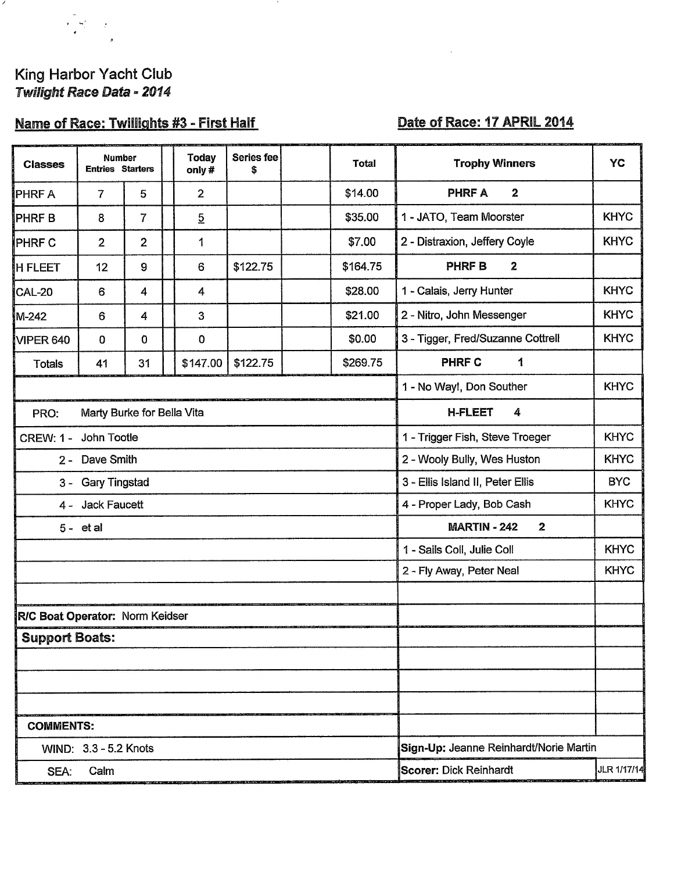## King Harbor Yacht Club Twilight Race Data - 2014

 $\frac{1}{2}$ 

×

# Name of Race: Twillights #3 - First Half

### Date of Race: 17 APRIL 2014

| <b>Classes</b>                     | Number<br><b>Entries Starters</b> |                         |  | <b>Today</b><br>only # | Series fee<br>\$ |                                        | <b>Total</b>                                   | <b>Trophy Winners</b>                      | YC          |  |  |
|------------------------------------|-----------------------------------|-------------------------|--|------------------------|------------------|----------------------------------------|------------------------------------------------|--------------------------------------------|-------------|--|--|
| <b>PHRF A</b>                      | 7                                 | 5                       |  | $\overline{2}$         |                  |                                        | \$14.00                                        | $\boldsymbol{2}$<br><b>PHRF A</b>          |             |  |  |
| <b>PHRFB</b>                       | 8                                 | $\overline{7}$          |  | $\overline{5}$         |                  |                                        | \$35.00                                        | 1 - JATO, Team Moorster                    | <b>KHYC</b> |  |  |
| PHRF C                             | $\overline{2}$                    | $\overline{\mathbf{2}}$ |  | 1                      |                  |                                        | \$7.00                                         | 2 - Distraxion, Jeffery Coyle              | <b>KHYC</b> |  |  |
| <b>H FLEET</b>                     | 12                                | 9                       |  | 6                      | \$122.75         |                                        | \$164.75                                       | <b>PHRF B</b><br>$\mathbf{2}$              |             |  |  |
| <b>CAL-20</b>                      | 6                                 | 4                       |  | 4                      |                  |                                        | \$28.00                                        | 1 - Calais, Jerry Hunter                   | <b>KHYC</b> |  |  |
| M-242                              | 6                                 | 4                       |  | 3                      |                  |                                        | \$21.00                                        | 2 - Nitro, John Messenger                  | <b>KHYC</b> |  |  |
| VIPER 640                          | $\mathbf 0$                       | 0                       |  | 0                      |                  |                                        | \$0.00                                         | 3 - Tigger, Fred/Suzanne Cottrell          | <b>KHYC</b> |  |  |
| <b>Totals</b>                      | 41                                | 31                      |  | \$147.00               | \$122.75         |                                        | \$269.75                                       | <b>PHRF C</b><br>1                         |             |  |  |
|                                    |                                   |                         |  |                        |                  |                                        |                                                | <b>KHYC</b><br>1 - No Way!, Don Souther    |             |  |  |
| Marty Burke for Bella Vita<br>PRO: |                                   |                         |  |                        |                  |                                        |                                                | <b>H-FLEET</b><br>4                        |             |  |  |
| John Tootle<br><b>CREW: 1 -</b>    |                                   |                         |  |                        |                  |                                        |                                                | 1 - Trigger Fish, Steve Troeger            | <b>KHYC</b> |  |  |
| 2 - Dave Smith                     |                                   |                         |  |                        |                  |                                        |                                                | 2 - Wooly Bully, Wes Huston<br><b>KHYC</b> |             |  |  |
| 3 - Gary Tingstad                  |                                   |                         |  |                        |                  |                                        | 3 - Ellis Island II, Peter Ellis<br><b>BYC</b> |                                            |             |  |  |
| 4 - Jack Faucett                   |                                   |                         |  |                        |                  |                                        | <b>KHYC</b><br>4 - Proper Lady, Bob Cash       |                                            |             |  |  |
| $5 - etal$                         |                                   |                         |  |                        |                  |                                        | <b>MARTIN - 242</b><br>$\mathbf{2}$            |                                            |             |  |  |
|                                    |                                   |                         |  |                        |                  |                                        | 1 - Sails Coll, Julie Coll                     | <b>KHYC</b>                                |             |  |  |
|                                    |                                   |                         |  |                        |                  |                                        |                                                | 2 - Fly Away, Peter Neal                   | <b>KHYC</b> |  |  |
|                                    |                                   |                         |  |                        |                  |                                        |                                                |                                            |             |  |  |
| R/C Boat Operator: Norm Keidser    |                                   |                         |  |                        |                  |                                        |                                                |                                            |             |  |  |
| <b>Support Boats:</b>              |                                   |                         |  |                        |                  |                                        |                                                |                                            |             |  |  |
|                                    |                                   |                         |  |                        |                  |                                        |                                                |                                            |             |  |  |
|                                    |                                   |                         |  |                        |                  |                                        |                                                |                                            |             |  |  |
|                                    |                                   |                         |  |                        |                  |                                        |                                                |                                            |             |  |  |
| <b>COMMENTS:</b>                   |                                   |                         |  |                        |                  |                                        |                                                |                                            |             |  |  |
| WIND: 3.3 - 5.2 Knots              |                                   |                         |  |                        |                  | Sign-Up: Jeanne Reinhardt/Norie Martin |                                                |                                            |             |  |  |
| Calm<br>SEA:                       |                                   |                         |  |                        |                  | <b>Scorer: Dick Reinhardt</b>          | JLR 1/17/14                                    |                                            |             |  |  |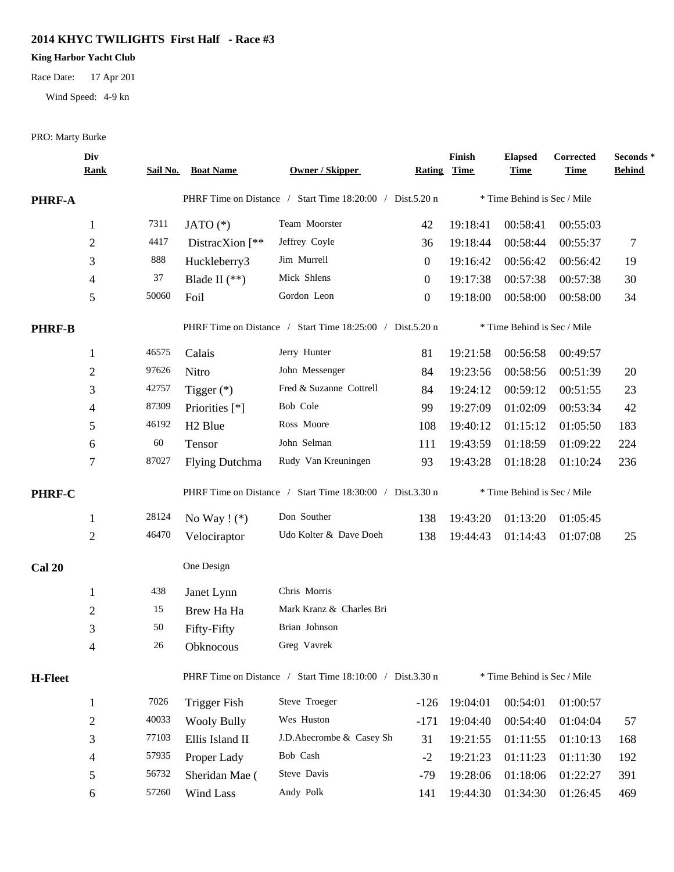#### **2014 KHYC TWILIGHTS First Half - Race #3**

#### **King Harbor Yacht Club**

Race Date: 17 Apr 201

Wind Speed: 4-9 kn

PRO: Marty Burke

|                | Div<br><b>Rank</b>       |       | Sail No. Boat Name      | Owner / Skipper                                           | Rating           | Finish<br><u>Time</u> | <b>Elapsed</b><br><b>Time</b> | Corrected<br><b>Time</b> | Seconds*<br><b>Behind</b> |
|----------------|--------------------------|-------|-------------------------|-----------------------------------------------------------|------------------|-----------------------|-------------------------------|--------------------------|---------------------------|
| PHRF-A         |                          |       |                         | PHRF Time on Distance / Start Time 18:20:00 / Dist.5.20 n |                  |                       | * Time Behind is Sec / Mile   |                          |                           |
|                | 1                        | 7311  | JATO $(*)$              | Team Moorster                                             | 42               | 19:18:41              | 00:58:41                      | 00:55:03                 |                           |
|                | $\mathbf{2}$             | 4417  | DistracXion $\lceil$ ** | Jeffrey Coyle                                             | 36               | 19:18:44              | 00:58:44                      | 00:55:37                 | 7                         |
|                | 3                        | 888   | Huckleberry3            | Jim Murrell                                               | $\boldsymbol{0}$ | 19:16:42              | 00:56:42                      | 00:56:42                 | 19                        |
|                | 4                        | 37    | Blade II $(**)$         | Mick Shlens                                               | $\theta$         | 19:17:38              | 00:57:38                      | 00:57:38                 | 30                        |
|                | 5                        | 50060 | Foil                    | Gordon Leon                                               | $\boldsymbol{0}$ | 19:18:00              | 00:58:00                      | 00:58:00                 | 34                        |
| <b>PHRF-B</b>  |                          |       |                         | PHRF Time on Distance / Start Time 18:25:00 / Dist.5.20 n |                  |                       | * Time Behind is Sec / Mile   |                          |                           |
|                | $\mathbf{1}$             | 46575 | Calais                  | Jerry Hunter                                              | 81               | 19:21:58              | 00:56:58                      | 00:49:57                 |                           |
|                | $\mathbf{2}$             | 97626 | Nitro                   | John Messenger                                            | 84               | 19:23:56              | 00:58:56                      | 00:51:39                 | 20                        |
|                | 3                        | 42757 | Tigger $(*)$            | Fred & Suzanne Cottrell                                   | 84               | 19:24:12              | 00:59:12                      | 00:51:55                 | 23                        |
|                | 4                        | 87309 | Priorities [*]          | Bob Cole                                                  | 99               | 19:27:09              | 01:02:09                      | 00:53:34                 | 42                        |
|                | 5                        | 46192 | H <sub>2</sub> Blue     | Ross Moore                                                | 108              | 19:40:12              | 01:15:12                      | 01:05:50                 | 183                       |
|                | 6                        | 60    | Tensor                  | John Selman                                               | 111              | 19:43:59              | 01:18:59                      | 01:09:22                 | 224                       |
|                | 7                        | 87027 | <b>Flying Dutchma</b>   | Rudy Van Kreuningen                                       | 93               | 19:43:28              | 01:18:28                      | 01:10:24                 | 236                       |
| PHRF-C         |                          |       |                         | PHRF Time on Distance / Start Time 18:30:00 / Dist.3.30 n |                  |                       | * Time Behind is Sec / Mile   |                          |                           |
|                | $\mathbf{1}$             | 28124 | No Way $! (*)$          | Don Souther                                               | 138              | 19:43:20              | 01:13:20                      | 01:05:45                 |                           |
|                | 2                        | 46470 | Velociraptor            | Udo Kolter & Dave Doeh                                    | 138              | 19:44:43              | 01:14:43                      | 01:07:08                 | 25                        |
| <b>Cal 20</b>  |                          |       | One Design              |                                                           |                  |                       |                               |                          |                           |
|                | $\mathbf{1}$             | 438   | Janet Lynn              | Chris Morris                                              |                  |                       |                               |                          |                           |
|                | $\mathbf{2}$             | 15    | Brew Ha Ha              | Mark Kranz & Charles Bri                                  |                  |                       |                               |                          |                           |
|                | 3                        | 50    | Fifty-Fifty             | Brian Johnson                                             |                  |                       |                               |                          |                           |
|                | 4                        | 26    | Obknocous               | Greg Vavrek                                               |                  |                       |                               |                          |                           |
| <b>H-Fleet</b> |                          |       |                         | PHRF Time on Distance / Start Time 18:10:00 / Dist.3.30 n |                  |                       | * Time Behind is Sec / Mile   |                          |                           |
|                | $\mathbf{1}$             | 7026  | <b>Trigger Fish</b>     | Steve Troeger                                             | $-126$           | 19:04:01              | 00:54:01                      | 01:00:57                 |                           |
|                | $\overline{c}$           | 40033 | <b>Wooly Bully</b>      | Wes Huston                                                | $-171$           | 19:04:40              | 00:54:40                      | 01:04:04                 | 57                        |
|                | $\mathfrak{Z}$           | 77103 | Ellis Island II         | J.D.Abecrombe & Casey Sh                                  | 31               | 19:21:55              | 01:11:55                      | 01:10:13                 | 168                       |
|                | $\overline{\mathcal{A}}$ | 57935 | Proper Lady             | Bob Cash                                                  | $-2$             | 19:21:23              | 01:11:23                      | 01:11:30                 | 192                       |
|                | 5                        | 56732 | Sheridan Mae (          | Steve Davis                                               | $-79$            | 19:28:06              | 01:18:06                      | 01:22:27                 | 391                       |
|                | 6                        | 57260 | Wind Lass               | Andy Polk                                                 | 141              | 19:44:30              | 01:34:30                      | 01:26:45                 | 469                       |